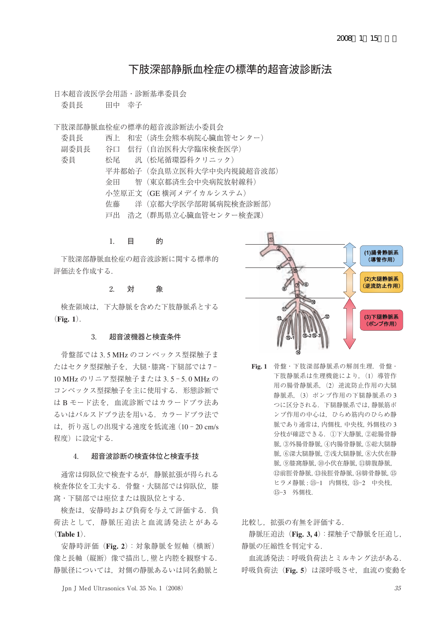# 下肢深部静脈血栓症の標準的超音波診断法

日本超音波医学会用語・診断基準委員会

委員長 田中 幸子

下肢深部静脈血栓症の標準的超音波診断法小委員会

| 委員長  |                         | 西上 和宏(済生会熊本病院心臓血管センター)   |
|------|-------------------------|--------------------------|
| 副委員長 |                         | 谷口 信行(自治医科大学臨床検査医学)      |
| 委員   | 松尾                      | 汎 (松尾循環器科クリニック)          |
|      |                         | 平井都始子(奈良県立医科大学中央内視鏡超音波部) |
|      |                         | 金田 智(東京都済生会中央病院放射線科)     |
|      |                         | 小笠原正文(GE 横河メデイカルシステム)    |
|      | <i>にいて 休藤 しんじん かんしゃ</i> | 洋(京都大学医学部附属病院検杳診断部)      |
|      |                         | 戸出 浩之 (群馬県立心臓血管センター検査課)  |

### 1. 目 的

 下肢深部静脈血栓症の超音波診断に関する標準的 評価法を作成する.

### 2. 対 象

 検査領域は,下大静脈を含めた下肢静脈系とする (**Fig. 1**).

### 3. 超音波機器と検査条件

 骨盤部では 3. 5 MHz のコンベックス型探触子ま たはセクタ型探触子を、大腿·膝窩·下腿部では7-10 MHz のリニア型探触子または 3. 5 - 5. 0 MHz の コンベックス型探触子を主に使用する.形態診断で は B モード法を,血流診断ではカラードプラ法あ るいはパルスドプラ法を用いる.カラードプラ法で は,折り返しの出現する速度を低流速(10 - 20 cm/s 程度)に設定する.

### 4. 超音波診断の検査体位と検査手技

 通常は仰臥位で検査するが,静脈拡張が得られる 検査体位を工夫する. 骨盤・大腿部では仰臥位. 膝 窩・下腿部では座位または腹臥位とする.

 検査は,安静時および負荷を与えて評価する.負 荷法として,静脈圧迫法と血流誘発法とがある (**Table 1**).

 安静時評価(**Fig. 2**):対象静脈を短軸(横断) 像と長軸(縦断)像で描出し,壁と内腔を観察する. 静脈径については,対側の静脈あるいは同名動脈と



**Fig. 1** 骨盤・下肢深部静脈系の解剖生理.骨盤・ 下肢静脈系は生理機能により, (1) 導管作 用の腸骨静脈系,(2)逆流防止作用の大腿 静脈系. (3) ポンプ作用の下腿静脈系の 3 つに区分される.下腿静脈系では,静脈筋ポ ンプ作用の中心は,ひらめ筋内のひらめ静 脈であり通常は,内側枝,中央枝,外側枝の 3 分枝が確認できる.①下大静脈,②総腸骨静 脈,③外腸骨静脈,④内腸骨静脈,⑤総大腿静 脈,⑥深大腿静脈,⑦浅大腿静脈,⑧大伏在静 脈,⑨膝窩静脈,⑩小伏在静脈,⑪腓腹静脈, ⑫前脛骨静脈,⑬後脛骨静脈,⑭腓骨静脈,⑮ ヒラメ静脈: ⑮-1 内側枝, ⑮-2 中央枝, ⑮-3 外側枝.

比較し,拡張の有無を評価する.

 静脈圧迫法(**Fig. 3, 4**):探触子で静脈を圧迫し, 静脈の圧縮性を判定する.

 血流誘発法:呼吸負荷法とミルキング法がある. 呼吸負荷法(**Fig. 5**)は深呼吸させ,血流の変動を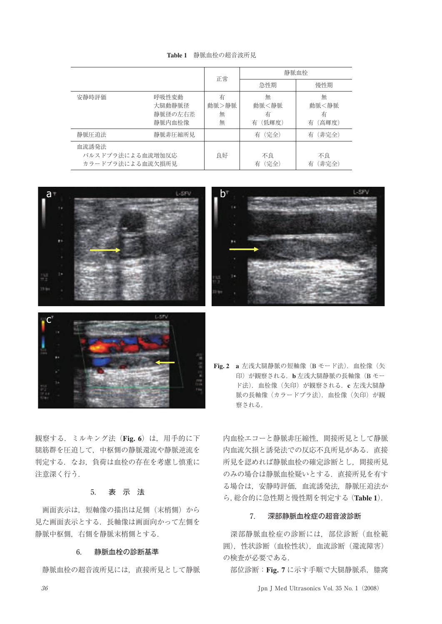|                                               |                                      | 正常                   | 静脈血栓                          |                               |
|-----------------------------------------------|--------------------------------------|----------------------|-------------------------------|-------------------------------|
|                                               |                                      |                      | 急性期                           | 慢性期                           |
| 安静時評価                                         | 呼吸性変動<br>大腿動静脈径<br>静脈径の左右差<br>静脈内血栓像 | 有<br>動脈>静脈<br>無<br>無 | 無<br>動脈<静脈<br>有<br>(低輝度)<br>有 | 無<br>動脈<静脈<br>有<br>(高輝度)<br>有 |
| 静脈圧迫法                                         | 静脈非圧縮所見                              |                      | 有(完全)                         | (非完全)<br>有                    |
| 血流誘発法<br>パルスドプラ法による血流増加反応<br>カラードプラ法による血流欠損所見 |                                      | 良好                   | 不良<br>有(完全)                   | 不良<br>(非完全)<br>有              |







観察する.ミルキング法(**Fig. 6**)は,用手的に下 腿筋群を圧迫して,中枢側の静脈還流や静脈逆流を 判定する.なお,負荷は血栓の存在を考慮し慎重に 注意深く行う.

### 5. 表 示 法

 画面表示は,短軸像の描出は足側(末梢側)から 見た画面表示とする. 長軸像は画面向かって左側を 静脈中枢側,右側を静脈末梢側とする.

### 6. 静脈血栓の診断基準

静脈血栓の超音波所見には,直接所見として静脈

**Fig. 2 a** 左浅大腿静脈の短軸像(<sup>B</sup> モード法).血栓像(矢 印)が観察される.**b** 左浅大腿静脈の長軸像(<sup>B</sup> モー ド法).血栓像(矢印)が観察される.**c** 左浅大腿静 脈の長軸像(カラードプラ法).血栓像(矢印)が観 察される.

内血栓エコーと静脈非圧縮性,間接所見として静脈 内血流欠損と誘発法での反応不良所見がある.直接 所見を認めれば静脈血栓の確定診断とし,間接所見 のみの場合は静脈血栓疑いとする.直接所見を有す る場合は,安静時評価,血流誘発法,静脈圧迫法か <sup>ら</sup>,総合的に急性期と慢性期を判定する(**Table 1**).

### 7. 深部静脈血栓症の超音波診断

 深部静脈血栓症の診断には,部位診断(血栓範 囲),性状診断(血栓性状),血流診断(還流障害) の検査が必要である.

部位診断: Fig. 7 に示す手順で大腿静脈系,膝窩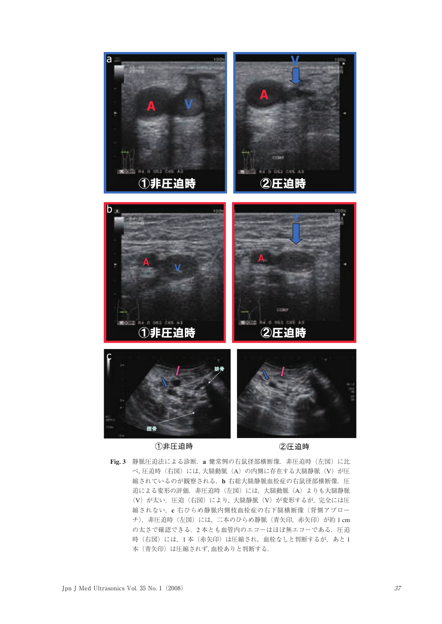

Fig. 3 静脈圧迫法による診断. a 健常例の右鼠径部横断像. 非圧迫時 (左図) に比 べ,圧迫時(右図)には,大腿動脈(A)の内側に存在する大腿静脈(V)が圧 縮されているのが観察される.**b** 右総大腿静脈血栓症の右鼠径部横断像.<sup>圧</sup> 迫による変形の評価. 非圧迫時(左図)には、大腿動脈(A)よりも大腿静脈 (V)が太い.圧迫(右図)により,大腿静脈(V)が変形するが,完全には圧 縮されない.**c** 右ひらめ静脈内側枝血栓症の右下腿横断像(背側アプロー チ). 非圧迫時(左図)には、二本のひらめ静脈(青矢印, 赤矢印)が約1cm の太さで確認できる. 2本とも血管内のエコーはほぼ無エコーである. 圧迫 時(右図)には、1本(赤矢印)は圧縮され、血栓なしと判断するが、あと1 本(青矢印)は圧縮されず,血栓ありと判断する.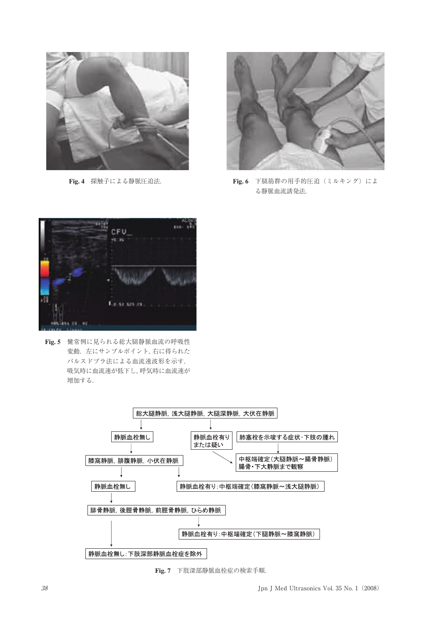

**Fig. 4** 探触子による静脈圧迫法.



**Fig. 6** 下腿筋群の用手的圧迫(ミルキング)によ る静脈血流誘発法.



**Fig. 5** 健常例に見られる総大腿静脈血流の呼吸性 変動. 左にサンプルポイント,右に得られた パルスドプラ法による血流速波形を示す. 吸気時に血流速が低下し,呼気時に血流速が 増加する.



**Fig. 7** 下肢深部静脈血栓症の検索手順.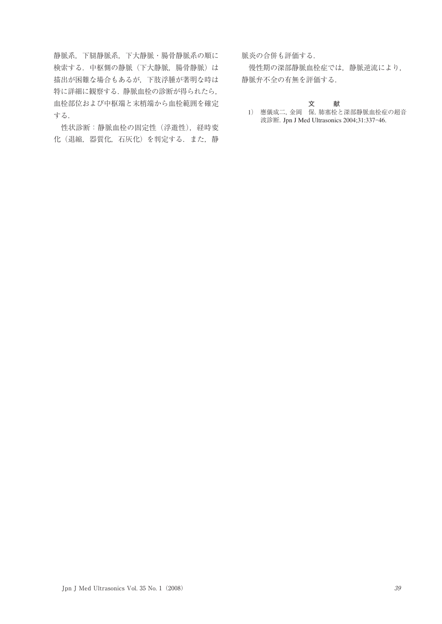静脈系,下腿静脈系,下大静脈・腸骨静脈系の順に 検索する. 中枢側の静脈(下大静脈, 腸骨静脈)は 描出が困難な場合もあるが,下肢浮腫が著明な時は 特に詳細に観察する.静脈血栓の診断が得られたら, 血栓部位および中枢端と末梢端から血栓範囲を確定 する.

性状診断:静脈血栓の固定性 (浮遊性), 経時変 化(退縮,器質化,石灰化)を判定する.また,静 脈炎の合併も評価する.

 慢性期の深部静脈血栓症では,静脈逆流により, 静脈弁不全の有無を評価する.

### 文 献

1) 應儀成二,金岡 保.肺塞栓と深部静脈血栓症の超音 波診断.Jpn J Med Ultrasonics 2004;31:337-46.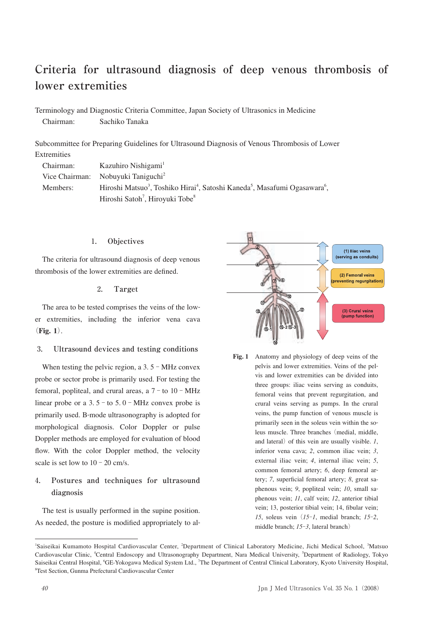# **Criteria for ultrasound diagnosis of deep venous thrombosis of lower extremities**

Terminology and Diagnostic Criteria Committee, Japan Society of Ultrasonics in Medicine Chairman: Sachiko Tanaka

Subcommittee for Preparing Guidelines for Ultrasound Diagnosis of Venous Thrombosis of Lower Extremities

| Chairman: | Kazuhiro Nishigami <sup>1</sup>                                                                                            |
|-----------|----------------------------------------------------------------------------------------------------------------------------|
|           | Vice Chairman: Nobuyuki Taniguchi <sup>2</sup>                                                                             |
| Members:  | Hiroshi Matsuo <sup>3</sup> , Toshiko Hirai <sup>4</sup> , Satoshi Kaneda <sup>5</sup> , Masafumi Ogasawara <sup>6</sup> , |
|           | Hiroshi Satoh <sup>7</sup> , Hiroyuki Tobe <sup>8</sup>                                                                    |

### 1**. Objectives**

The criteria for ultrasound diagnosis of deep venous thrombosis of the lower extremities are defined.

### 2**. Target**

The area to be tested comprises the veins of the lower extremities, including the inferior vena cava (**Fig. 1**).

### 3**. Ultrasound devices and testing conditions**

When testing the pelvic region, a  $3.5 - MHz$  convex probe or sector probe is primarily used. For testing the femoral, popliteal, and crural areas, a  $7 -$  to  $10 - MHz$ linear probe or a  $3.5$  - to  $5.0$  - MHz convex probe is primarily used. B-mode ultrasonography is adopted for morphological diagnosis. Color Doppler or pulse Doppler methods are employed for evaluation of blood flow. With the color Doppler method, the velocity scale is set low to  $10 - 20$  cm/s.

# 4**. Postures and techniques for ultrasound diagnosis**

The test is usually performed in the supine position. As needed, the posture is modified appropriately to al-



**Fig. 1** Anatomy and physiology of deep veins of the pelvis and lower extremities. Veins of the pelvis and lower extremities can be divided into three groups: iliac veins serving as conduits, femoral veins that prevent regurgitation, and crural veins serving as pumps. In the crural veins, the pump function of venous muscle is primarily seen in the soleus vein within the soleus muscle. Three branches (medial, middle, and lateral) of this vein are usually visible. *1*, inferior vena cava; *2*, common iliac vein; *3*, external iliac vein; *4*, internal iliac vein; *5*, common femoral artery; *6*, deep femoral artery; *7*, superficial femoral artery; *8*, great saphenous vein; *9*, popliteal vein; *10*, small saphenous vein; *11*, calf vein; *12*, anterior tibial vein; 13, posterior tibial vein; 14, fibular vein; *15*, soleus vein (*15*-*1*, medial branch; *15*-*2*, middle branch; *15*-*3*, lateral branch)

<sup>&</sup>lt;sup>1</sup>Saiseikai Kumamoto Hospital Cardiovascular Center, <sup>2</sup>Department of Clinical Laboratory Medicine, Jichi Medical School, <sup>3</sup>Matsuo Cardiovascular Clinic, <sup>4</sup>Central Endoscopy and Ultrasonography Department, Nara Medical University, <sup>5</sup>Department of Radiology, Tokyo Saiseikai Central Hospital, <sup>6</sup>GE-Yokogawa Medical System Ltd., <sup>7</sup>The Department of Central Clinical Laboratory, Kyoto University Hospital, <sup>8</sup>Test Section, Cunros Profectural Centiuscaular Central Test Section, Gunma Prefectural Cardiovascular Center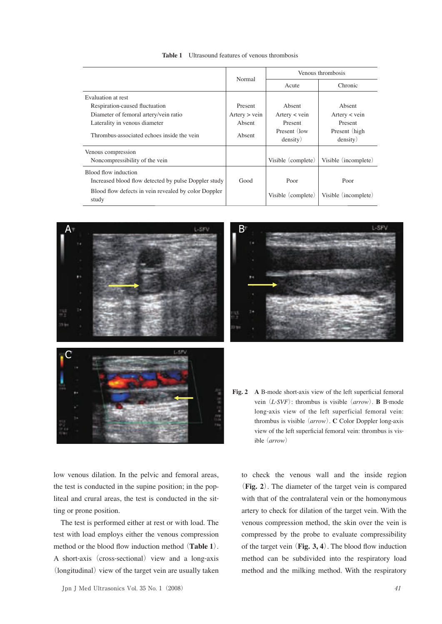| <b>Table 1</b> Ultrasound features of venous thrombosis |
|---------------------------------------------------------|
|                                                         |

|                                                                              |               | Venous thrombosis        |                            |
|------------------------------------------------------------------------------|---------------|--------------------------|----------------------------|
|                                                                              | Normal        | Acute                    | Chronic                    |
| Evaluation at rest                                                           |               |                          |                            |
| Respiration-caused fluctuation                                               | Present       | Absent                   | Absent                     |
| Diameter of femoral artery/vein ratio                                        | Artery > vein | Artery $\lt$ vein        | Artery $\lt$ vein          |
| Laterality in venous diameter                                                | Absent        | Present                  | Present                    |
| Thrombus-associated echoes inside the vein                                   | Absent        | Present (low<br>density) | Present (high)<br>density) |
| Venous compression<br>Noncompressibility of the vein                         |               | Visible (complete)       | Visible (incomplete)       |
| Blood flow induction<br>Increased blood flow detected by pulse Doppler study | Good          | Poor                     | Poor                       |
| Blood flow defects in vein revealed by color Doppler<br>study                |               | Visible (complete)       | Visible (incomplete)       |





**Fig. 2 A** B-mode short-axis view of the left superficial femoral vein (*L*-*SVF*): thrombus is visible (*arrow*). **B** B-mode long-axis view of the left superficial femoral vein: thrombus is visible (*arrow*). **C** Color Doppler long-axis view of the left superficial femoral vein: thrombus is visible (*arrow*)

low venous dilation. In the pelvic and femoral areas, the test is conducted in the supine position; in the popliteal and crural areas, the test is conducted in the sitting or prone position.

The test is performed either at rest or with load. The test with load employs either the venous compression method or the blood flow induction method (**Table 1**). A short-axis (cross-sectional) view and a long-axis (longitudinal) view of the target vein are usually taken

to check the venous wall and the inside region (**Fig. 2**). The diameter of the target vein is compared with that of the contralateral vein or the homonymous artery to check for dilation of the target vein. With the venous compression method, the skin over the vein is compressed by the probe to evaluate compressibility of the target vein (**Fig. 3, 4**). The blood flow induction method can be subdivided into the respiratory load method and the milking method. With the respiratory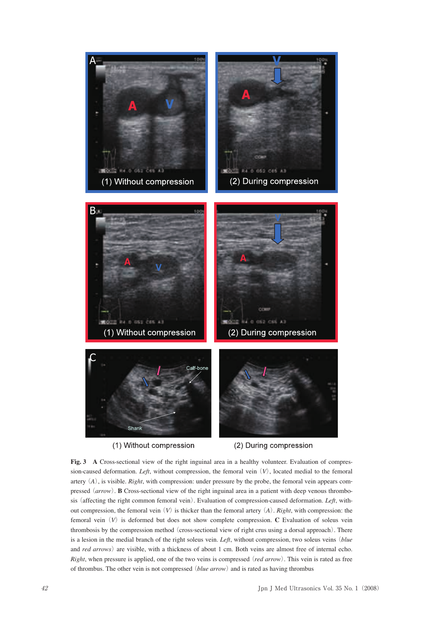

(1) Without compression (2) During compression **Fig. 3 A** Cross-sectional view of the right inguinal area in a healthy volunteer. Evaluation of compression-caused deformation. *Left*, without compression, the femoral vein (*V*), located medial to the femoral artery (*A*), is visible. *Right*, with compression: under pressure by the probe, the femoral vein appears compressed (*arrow*). **B** Cross-sectional view of the right inguinal area in a patient with deep venous thrombosis (affecting the right common femoral vein). Evaluation of compression-caused deformation. *Left*, without compression, the femoral vein (*V*) is thicker than the femoral artery (*A*). *Right*, with compression: the femoral vein (*V*) is deformed but does not show complete compression. **C** Evaluation of soleus vein thrombosis by the compression method (cross-sectional view of right crus using a dorsal approach). There is a lesion in the medial branch of the right soleus vein. *Left*, without compression, two soleus veins (*blue*  and *red arrows*) are visible, with a thickness of about 1 cm. Both veins are almost free of internal echo. *Right*, when pressure is applied, one of the two veins is compressed (*red arrow*). This vein is rated as free of thrombus. The other vein is not compressed (*blue arrow*) and is rated as having thrombus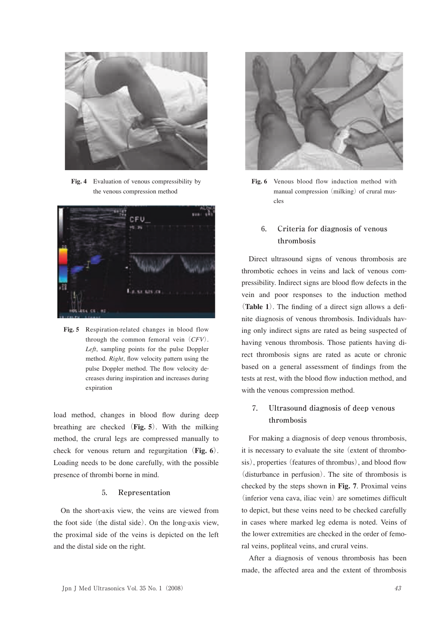

**Fig. 4** Evaluation of venous compressibility by the venous compression method



**Fig. 5** Respiration-related changes in blood flow through the common femoral vein (*CFV*). *Left*, sampling points for the pulse Doppler method. *Right*, flow velocity pattern using the pulse Doppler method. The flow velocity decreases during inspiration and increases during expiration

load method, changes in blood flow during deep breathing are checked (**Fig. 5**). With the milking method, the crural legs are compressed manually to check for venous return and regurgitation (**Fig. 6**). Loading needs to be done carefully, with the possible presence of thrombi borne in mind.

### 5**. Representation**

On the short-axis view, the veins are viewed from the foot side (the distal side). On the long-axis view, the proximal side of the veins is depicted on the left and the distal side on the right.



**Fig. 6** Venous blood flow induction method with manual compression (milking) of crural muscles

# 6**. Criteria for diagnosis of venous thrombosis**

Direct ultrasound signs of venous thrombosis are thrombotic echoes in veins and lack of venous compressibility. Indirect signs are blood flow defects in the vein and poor responses to the induction method (**Table 1**). The finding of a direct sign allows a definite diagnosis of venous thrombosis. Individuals having only indirect signs are rated as being suspected of having venous thrombosis. Those patients having direct thrombosis signs are rated as acute or chronic based on a general assessment of findings from the tests at rest, with the blood flow induction method, and with the venous compression method.

# 7**. Ultrasound diagnosis of deep venous thrombosis**

For making a diagnosis of deep venous thrombosis, it is necessary to evaluate the site (extent of thrombosis), properties (features of thrombus), and blood flow (disturbance in perfusion). The site of thrombosis is checked by the steps shown in **Fig. <sup>7</sup>**. Proximal veins (inferior vena cava, iliac vein) are sometimes difficult to depict, but these veins need to be checked carefully in cases where marked leg edema is noted. Veins of the lower extremities are checked in the order of femoral veins, popliteal veins, and crural veins.

After a diagnosis of venous thrombosis has been made, the affected area and the extent of thrombosis